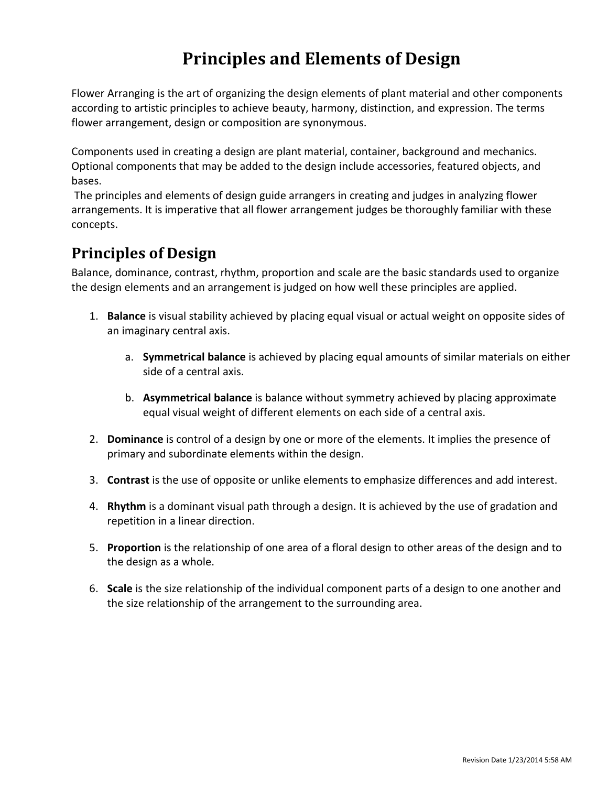# **Principles and Elements of Design**

Flower Arranging is the art of organizing the design elements of plant material and other components according to artistic principles to achieve beauty, harmony, distinction, and expression. The terms flower arrangement, design or composition are synonymous.

Components used in creating a design are plant material, container, background and mechanics. Optional components that may be added to the design include accessories, featured objects, and bases.

 The principles and elements of design guide arrangers in creating and judges in analyzing flower arrangements. It is imperative that all flower arrangement judges be thoroughly familiar with these concepts.

# **Principles of Design**

Balance, dominance, contrast, rhythm, proportion and scale are the basic standards used to organize the design elements and an arrangement is judged on how well these principles are applied.

- 1. **Balance** is visual stability achieved by placing equal visual or actual weight on opposite sides of an imaginary central axis.
	- a. **Symmetrical balance** is achieved by placing equal amounts of similar materials on either side of a central axis.
	- b. **Asymmetrical balance** is balance without symmetry achieved by placing approximate equal visual weight of different elements on each side of a central axis.
- 2. **Dominance** is control of a design by one or more of the elements. It implies the presence of primary and subordinate elements within the design.
- 3. **Contrast** is the use of opposite or unlike elements to emphasize differences and add interest.
- 4. **Rhythm** is a dominant visual path through a design. It is achieved by the use of gradation and repetition in a linear direction.
- 5. **Proportion** is the relationship of one area of a floral design to other areas of the design and to the design as a whole.
- 6. **Scale** is the size relationship of the individual component parts of a design to one another and the size relationship of the arrangement to the surrounding area.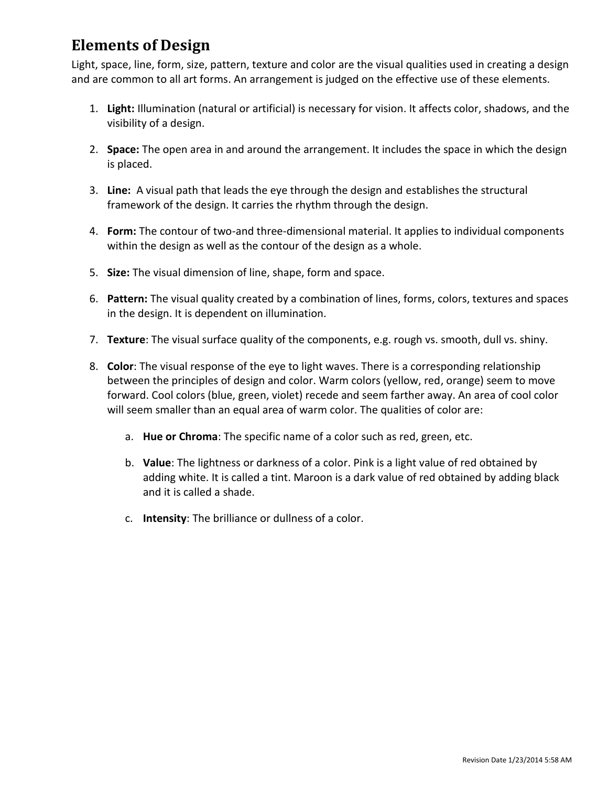# **Elements of Design**

Light, space, line, form, size, pattern, texture and color are the visual qualities used in creating a design and are common to all art forms. An arrangement is judged on the effective use of these elements.

- 1. **Light:** Illumination (natural or artificial) is necessary for vision. It affects color, shadows, and the visibility of a design.
- 2. **Space:** The open area in and around the arrangement. It includes the space in which the design is placed.
- 3. **Line:** A visual path that leads the eye through the design and establishes the structural framework of the design. It carries the rhythm through the design.
- 4. **Form:** The contour of two-and three-dimensional material. It applies to individual components within the design as well as the contour of the design as a whole.
- 5. **Size:** The visual dimension of line, shape, form and space.
- 6. **Pattern:** The visual quality created by a combination of lines, forms, colors, textures and spaces in the design. It is dependent on illumination.
- 7. **Texture**: The visual surface quality of the components, e.g. rough vs. smooth, dull vs. shiny.
- 8. **Color**: The visual response of the eye to light waves. There is a corresponding relationship between the principles of design and color. Warm colors (yellow, red, orange) seem to move forward. Cool colors (blue, green, violet) recede and seem farther away. An area of cool color will seem smaller than an equal area of warm color. The qualities of color are:
	- a. **Hue or Chroma**: The specific name of a color such as red, green, etc.
	- b. **Value**: The lightness or darkness of a color. Pink is a light value of red obtained by adding white. It is called a tint. Maroon is a dark value of red obtained by adding black and it is called a shade.
	- c. **Intensity**: The brilliance or dullness of a color.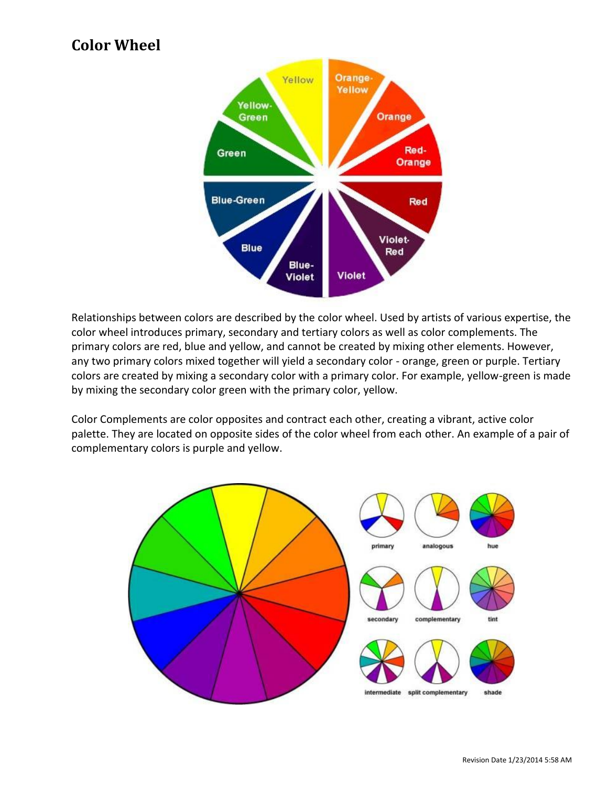# **Color Wheel**



Relationships between colors are described by the color wheel. Used by artists of various expertise, the color wheel introduces primary, secondary and tertiary colors as well as color complements. The primary colors are red, blue and yellow, and cannot be created by mixing other elements. However, any two primary colors mixed together will yield a secondary color - orange, green or purple. Tertiary colors are created by mixing a secondary color with a primary color. For example, yellow-green is made by mixing the secondary color green with the primary color, yellow.

Color Complements are color opposites and contract each other, creating a vibrant, active color palette. They are located on opposite sides of the color wheel from each other. An example of a pair of complementary colors is purple and yellow.

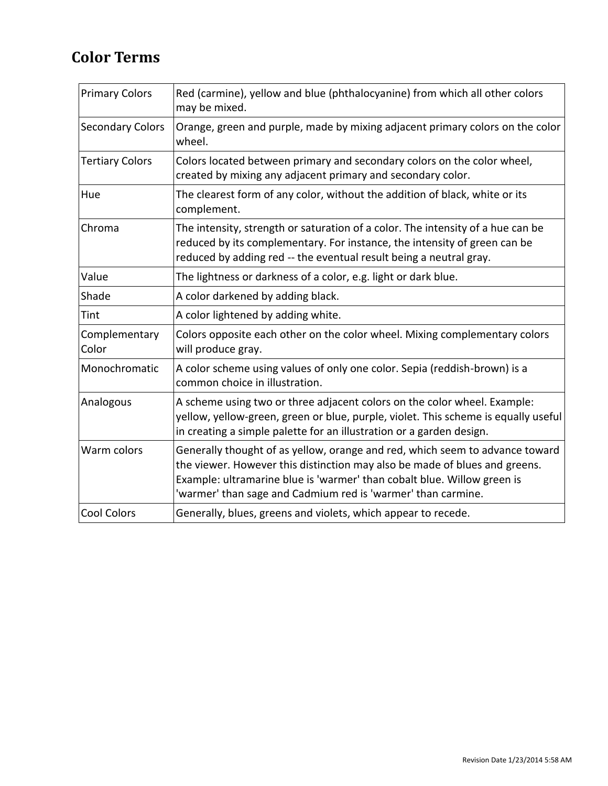# **Color Terms**

| <b>Primary Colors</b>   | Red (carmine), yellow and blue (phthalocyanine) from which all other colors<br>may be mixed.                                                                                                                                                                                                          |
|-------------------------|-------------------------------------------------------------------------------------------------------------------------------------------------------------------------------------------------------------------------------------------------------------------------------------------------------|
| <b>Secondary Colors</b> | Orange, green and purple, made by mixing adjacent primary colors on the color<br>wheel.                                                                                                                                                                                                               |
| <b>Tertiary Colors</b>  | Colors located between primary and secondary colors on the color wheel,<br>created by mixing any adjacent primary and secondary color.                                                                                                                                                                |
| Hue                     | The clearest form of any color, without the addition of black, white or its<br>complement.                                                                                                                                                                                                            |
| Chroma                  | The intensity, strength or saturation of a color. The intensity of a hue can be<br>reduced by its complementary. For instance, the intensity of green can be<br>reduced by adding red -- the eventual result being a neutral gray.                                                                    |
| Value                   | The lightness or darkness of a color, e.g. light or dark blue.                                                                                                                                                                                                                                        |
| Shade                   | A color darkened by adding black.                                                                                                                                                                                                                                                                     |
| Tint                    | A color lightened by adding white.                                                                                                                                                                                                                                                                    |
| Complementary<br>Color  | Colors opposite each other on the color wheel. Mixing complementary colors<br>will produce gray.                                                                                                                                                                                                      |
| Monochromatic           | A color scheme using values of only one color. Sepia (reddish-brown) is a<br>common choice in illustration.                                                                                                                                                                                           |
| Analogous               | A scheme using two or three adjacent colors on the color wheel. Example:<br>yellow, yellow-green, green or blue, purple, violet. This scheme is equally useful<br>in creating a simple palette for an illustration or a garden design.                                                                |
| Warm colors             | Generally thought of as yellow, orange and red, which seem to advance toward<br>the viewer. However this distinction may also be made of blues and greens.<br>Example: ultramarine blue is 'warmer' than cobalt blue. Willow green is<br>'warmer' than sage and Cadmium red is 'warmer' than carmine. |
| Cool Colors             | Generally, blues, greens and violets, which appear to recede.                                                                                                                                                                                                                                         |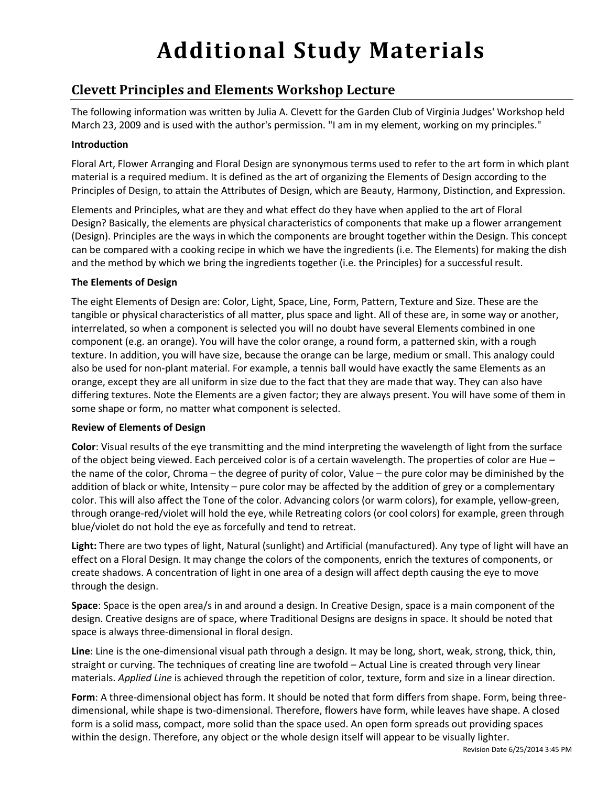# **Additional Study Materials**

# **Clevett Principles and Elements Workshop Lecture**

The following information was written by Julia A. Clevett for the Garden Club of Virginia Judges' Workshop held March 23, 2009 and is used with the author's permission. "I am in my element, working on my principles."

#### **Introduction**

Floral Art, Flower Arranging and Floral Design are synonymous terms used to refer to the art form in which plant material is a required medium. It is defined as the art of organizing the Elements of Design according to the Principles of Design, to attain the Attributes of Design, which are Beauty, Harmony, Distinction, and Expression.

Elements and Principles, what are they and what effect do they have when applied to the art of Floral Design? Basically, the elements are physical characteristics of components that make up a flower arrangement (Design). Principles are the ways in which the components are brought together within the Design. This concept can be compared with a cooking recipe in which we have the ingredients (i.e. The Elements) for making the dish and the method by which we bring the ingredients together (i.e. the Principles) for a successful result.

#### **The Elements of Design**

The eight Elements of Design are: Color, Light, Space, Line, Form, Pattern, Texture and Size. These are the tangible or physical characteristics of all matter, plus space and light. All of these are, in some way or another, interrelated, so when a component is selected you will no doubt have several Elements combined in one component (e.g. an orange). You will have the color orange, a round form, a patterned skin, with a rough texture. In addition, you will have size, because the orange can be large, medium or small. This analogy could also be used for non-plant material. For example, a tennis ball would have exactly the same Elements as an orange, except they are all uniform in size due to the fact that they are made that way. They can also have differing textures. Note the Elements are a given factor; they are always present. You will have some of them in some shape or form, no matter what component is selected.

#### **Review of Elements of Design**

**Color**: Visual results of the eye transmitting and the mind interpreting the wavelength of light from the surface of the object being viewed. Each perceived color is of a certain wavelength. The properties of color are Hue – the name of the color, Chroma – the degree of purity of color, Value – the pure color may be diminished by the addition of black or white, Intensity – pure color may be affected by the addition of grey or a complementary color. This will also affect the Tone of the color. Advancing colors (or warm colors), for example, yellow-green, through orange-red/violet will hold the eye, while Retreating colors (or cool colors) for example, green through blue/violet do not hold the eye as forcefully and tend to retreat.

**Light:** There are two types of light, Natural (sunlight) and Artificial (manufactured). Any type of light will have an effect on a Floral Design. It may change the colors of the components, enrich the textures of components, or create shadows. A concentration of light in one area of a design will affect depth causing the eye to move through the design.

**Space**: Space is the open area/s in and around a design. In Creative Design, space is a main component of the design. Creative designs are of space, where Traditional Designs are designs in space. It should be noted that space is always three-dimensional in floral design.

**Line**: Line is the one-dimensional visual path through a design. It may be long, short, weak, strong, thick, thin, straight or curving. The techniques of creating line are twofold – Actual Line is created through very linear materials. *Applied Line* is achieved through the repetition of color, texture, form and size in a linear direction.

**Form**: A three-dimensional object has form. It should be noted that form differs from shape. Form, being threedimensional, while shape is two-dimensional. Therefore, flowers have form, while leaves have shape. A closed form is a solid mass, compact, more solid than the space used. An open form spreads out providing spaces within the design. Therefore, any object or the whole design itself will appear to be visually lighter.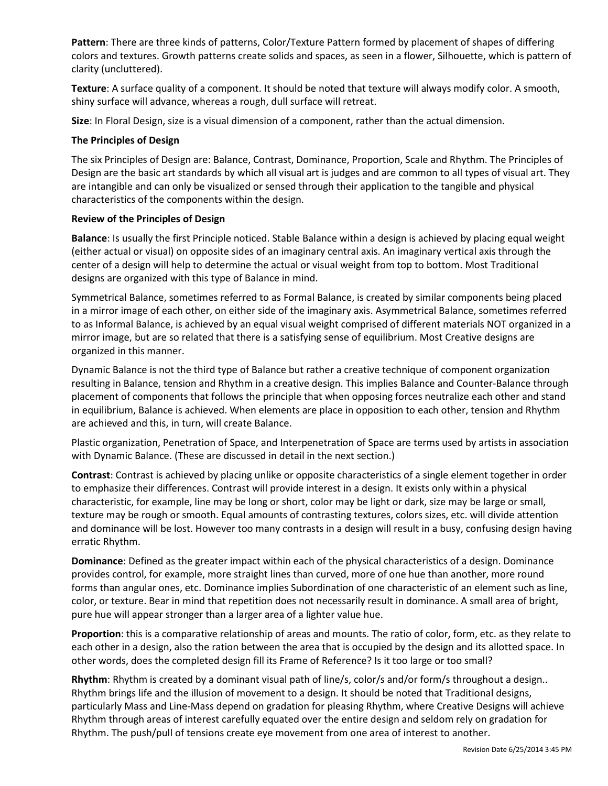**Pattern**: There are three kinds of patterns, Color/Texture Pattern formed by placement of shapes of differing colors and textures. Growth patterns create solids and spaces, as seen in a flower, Silhouette, which is pattern of clarity (uncluttered).

**Texture**: A surface quality of a component. It should be noted that texture will always modify color. A smooth, shiny surface will advance, whereas a rough, dull surface will retreat.

**Size**: In Floral Design, size is a visual dimension of a component, rather than the actual dimension.

#### **The Principles of Design**

The six Principles of Design are: Balance, Contrast, Dominance, Proportion, Scale and Rhythm. The Principles of Design are the basic art standards by which all visual art is judges and are common to all types of visual art. They are intangible and can only be visualized or sensed through their application to the tangible and physical characteristics of the components within the design.

#### **Review of the Principles of Design**

**Balance**: Is usually the first Principle noticed. Stable Balance within a design is achieved by placing equal weight (either actual or visual) on opposite sides of an imaginary central axis. An imaginary vertical axis through the center of a design will help to determine the actual or visual weight from top to bottom. Most Traditional designs are organized with this type of Balance in mind.

Symmetrical Balance, sometimes referred to as Formal Balance, is created by similar components being placed in a mirror image of each other, on either side of the imaginary axis. Asymmetrical Balance, sometimes referred to as Informal Balance, is achieved by an equal visual weight comprised of different materials NOT organized in a mirror image, but are so related that there is a satisfying sense of equilibrium. Most Creative designs are organized in this manner.

Dynamic Balance is not the third type of Balance but rather a creative technique of component organization resulting in Balance, tension and Rhythm in a creative design. This implies Balance and Counter-Balance through placement of components that follows the principle that when opposing forces neutralize each other and stand in equilibrium, Balance is achieved. When elements are place in opposition to each other, tension and Rhythm are achieved and this, in turn, will create Balance.

Plastic organization, Penetration of Space, and Interpenetration of Space are terms used by artists in association with Dynamic Balance. (These are discussed in detail in the next section.)

**Contrast**: Contrast is achieved by placing unlike or opposite characteristics of a single element together in order to emphasize their differences. Contrast will provide interest in a design. It exists only within a physical characteristic, for example, line may be long or short, color may be light or dark, size may be large or small, texture may be rough or smooth. Equal amounts of contrasting textures, colors sizes, etc. will divide attention and dominance will be lost. However too many contrasts in a design will result in a busy, confusing design having erratic Rhythm.

**Dominance**: Defined as the greater impact within each of the physical characteristics of a design. Dominance provides control, for example, more straight lines than curved, more of one hue than another, more round forms than angular ones, etc. Dominance implies Subordination of one characteristic of an element such as line, color, or texture. Bear in mind that repetition does not necessarily result in dominance. A small area of bright, pure hue will appear stronger than a larger area of a lighter value hue.

**Proportion**: this is a comparative relationship of areas and mounts. The ratio of color, form, etc. as they relate to each other in a design, also the ration between the area that is occupied by the design and its allotted space. In other words, does the completed design fill its Frame of Reference? Is it too large or too small?

**Rhythm**: Rhythm is created by a dominant visual path of line/s, color/s and/or form/s throughout a design.. Rhythm brings life and the illusion of movement to a design. It should be noted that Traditional designs, particularly Mass and Line-Mass depend on gradation for pleasing Rhythm, where Creative Designs will achieve Rhythm through areas of interest carefully equated over the entire design and seldom rely on gradation for Rhythm. The push/pull of tensions create eye movement from one area of interest to another.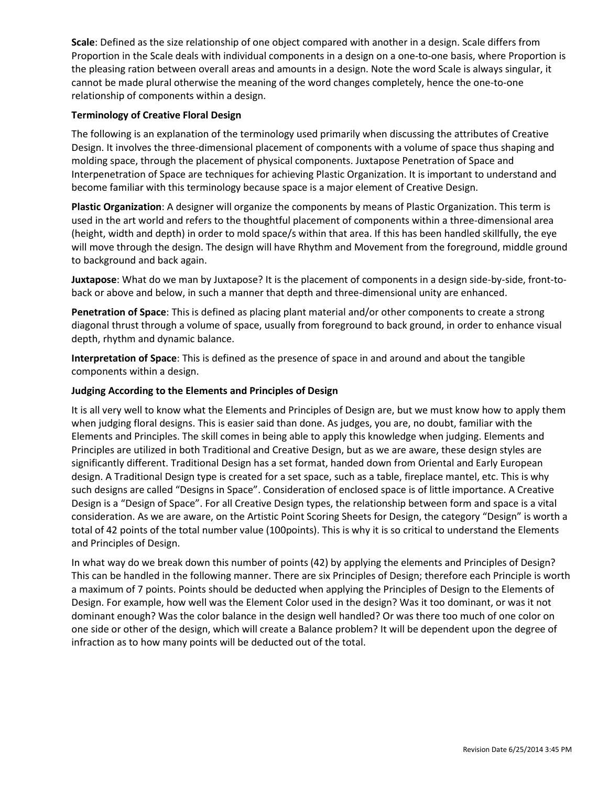**Scale**: Defined as the size relationship of one object compared with another in a design. Scale differs from Proportion in the Scale deals with individual components in a design on a one-to-one basis, where Proportion is the pleasing ration between overall areas and amounts in a design. Note the word Scale is always singular, it cannot be made plural otherwise the meaning of the word changes completely, hence the one-to-one relationship of components within a design.

#### **Terminology of Creative Floral Design**

The following is an explanation of the terminology used primarily when discussing the attributes of Creative Design. It involves the three-dimensional placement of components with a volume of space thus shaping and molding space, through the placement of physical components. Juxtapose Penetration of Space and Interpenetration of Space are techniques for achieving Plastic Organization. It is important to understand and become familiar with this terminology because space is a major element of Creative Design.

**Plastic Organization**: A designer will organize the components by means of Plastic Organization. This term is used in the art world and refers to the thoughtful placement of components within a three-dimensional area (height, width and depth) in order to mold space/s within that area. If this has been handled skillfully, the eye will move through the design. The design will have Rhythm and Movement from the foreground, middle ground to background and back again.

**Juxtapose**: What do we man by Juxtapose? It is the placement of components in a design side-by-side, front-toback or above and below, in such a manner that depth and three-dimensional unity are enhanced.

**Penetration of Space**: This is defined as placing plant material and/or other components to create a strong diagonal thrust through a volume of space, usually from foreground to back ground, in order to enhance visual depth, rhythm and dynamic balance.

**Interpretation of Space**: This is defined as the presence of space in and around and about the tangible components within a design.

#### **Judging According to the Elements and Principles of Design**

It is all very well to know what the Elements and Principles of Design are, but we must know how to apply them when judging floral designs. This is easier said than done. As judges, you are, no doubt, familiar with the Elements and Principles. The skill comes in being able to apply this knowledge when judging. Elements and Principles are utilized in both Traditional and Creative Design, but as we are aware, these design styles are significantly different. Traditional Design has a set format, handed down from Oriental and Early European design. A Traditional Design type is created for a set space, such as a table, fireplace mantel, etc. This is why such designs are called "Designs in Space". Consideration of enclosed space is of little importance. A Creative Design is a "Design of Space". For all Creative Design types, the relationship between form and space is a vital consideration. As we are aware, on the Artistic Point Scoring Sheets for Design, the category "Design" is worth a total of 42 points of the total number value (100points). This is why it is so critical to understand the Elements and Principles of Design.

In what way do we break down this number of points (42) by applying the elements and Principles of Design? This can be handled in the following manner. There are six Principles of Design; therefore each Principle is worth a maximum of 7 points. Points should be deducted when applying the Principles of Design to the Elements of Design. For example, how well was the Element Color used in the design? Was it too dominant, or was it not dominant enough? Was the color balance in the design well handled? Or was there too much of one color on one side or other of the design, which will create a Balance problem? It will be dependent upon the degree of infraction as to how many points will be deducted out of the total.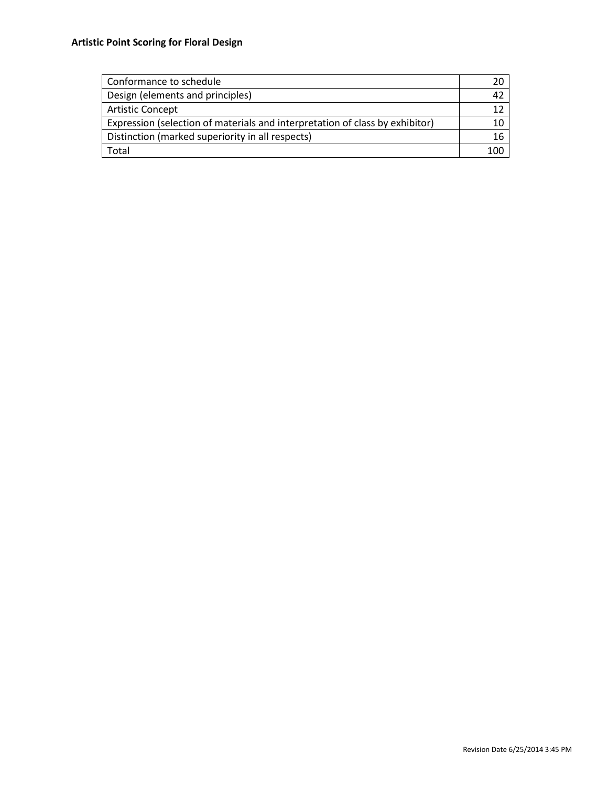| Conformance to schedule                                                      |  |
|------------------------------------------------------------------------------|--|
| Design (elements and principles)                                             |  |
| <b>Artistic Concept</b>                                                      |  |
| Expression (selection of materials and interpretation of class by exhibitor) |  |
| Distinction (marked superiority in all respects)                             |  |
| Total                                                                        |  |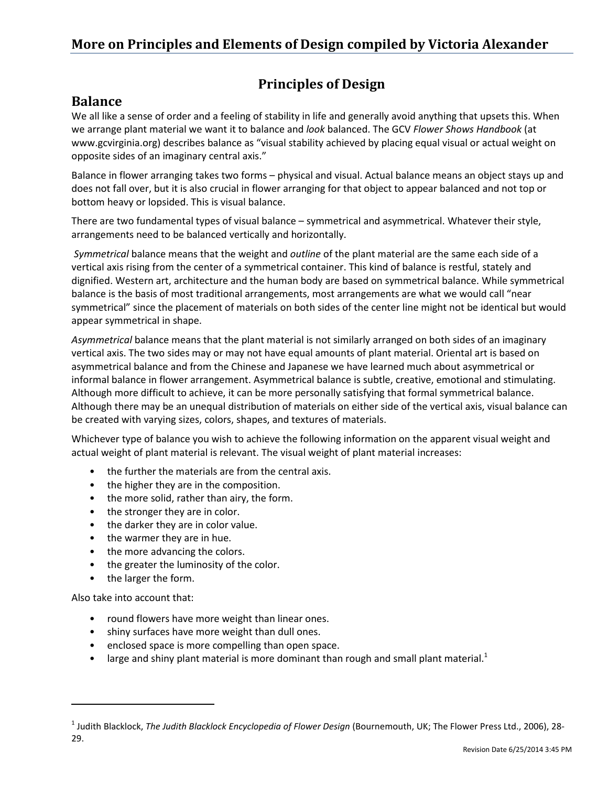# **Principles of Design**

# **Balance**

We all like a sense of order and a feeling of stability in life and generally avoid anything that upsets this. When we arrange plant material we want it to balance and *look* balanced. The GCV *Flower Shows Handbook* (at www.gcvirginia.org) describes balance as "visual stability achieved by placing equal visual or actual weight on opposite sides of an imaginary central axis."

Balance in flower arranging takes two forms – physical and visual. Actual balance means an object stays up and does not fall over, but it is also crucial in flower arranging for that object to appear balanced and not top or bottom heavy or lopsided. This is visual balance.

There are two fundamental types of visual balance – symmetrical and asymmetrical. Whatever their style, arrangements need to be balanced vertically and horizontally.

*Symmetrical* balance means that the weight and *outline* of the plant material are the same each side of a vertical axis rising from the center of a symmetrical container. This kind of balance is restful, stately and dignified. Western art, architecture and the human body are based on symmetrical balance. While symmetrical balance is the basis of most traditional arrangements, most arrangements are what we would call "near symmetrical" since the placement of materials on both sides of the center line might not be identical but would appear symmetrical in shape.

*Asymmetrical* balance means that the plant material is not similarly arranged on both sides of an imaginary vertical axis. The two sides may or may not have equal amounts of plant material. Oriental art is based on asymmetrical balance and from the Chinese and Japanese we have learned much about asymmetrical or informal balance in flower arrangement. Asymmetrical balance is subtle, creative, emotional and stimulating. Although more difficult to achieve, it can be more personally satisfying that formal symmetrical balance. Although there may be an unequal distribution of materials on either side of the vertical axis, visual balance can be created with varying sizes, colors, shapes, and textures of materials.

Whichever type of balance you wish to achieve the following information on the apparent visual weight and actual weight of plant material is relevant. The visual weight of plant material increases:

- the further the materials are from the central axis.
- the higher they are in the composition.
- the more solid, rather than airy, the form.
- the stronger they are in color.
- the darker they are in color value.
- the warmer they are in hue.
- the more advancing the colors.
- the greater the luminosity of the color.
- the larger the form.

Also take into account that:

- round flowers have more weight than linear ones.
- shiny surfaces have more weight than dull ones.
- enclosed space is more compelling than open space.
- large and shiny plant material is more dominant than rough and small plant material. $1$

<sup>1</sup> Judith Blacklock, *The Judith Blacklock Encyclopedia of Flower Design* (Bournemouth, UK; The Flower Press Ltd., 2006), 28- 29.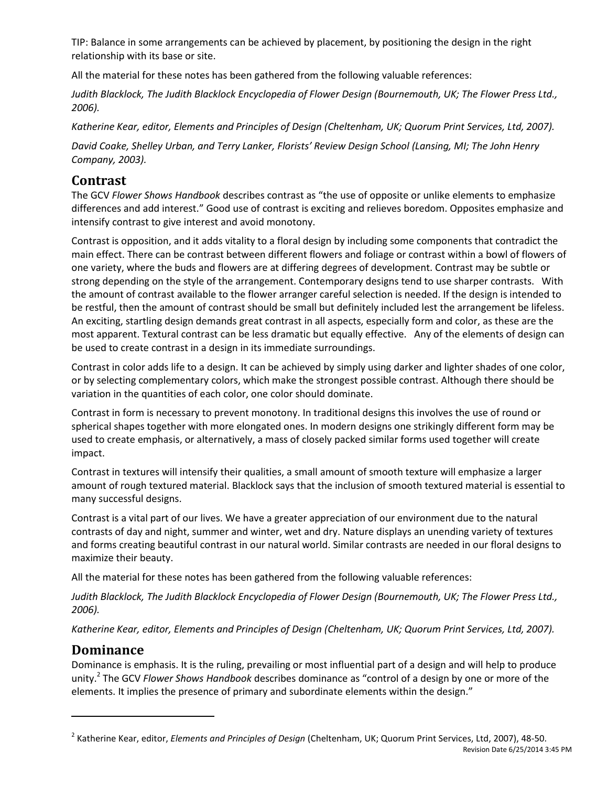TIP: Balance in some arrangements can be achieved by placement, by positioning the design in the right relationship with its base or site.

All the material for these notes has been gathered from the following valuable references:

*Judith Blacklock, The Judith Blacklock Encyclopedia of Flower Design (Bournemouth, UK; The Flower Press Ltd., 2006).* 

*Katherine Kear, editor, Elements and Principles of Design (Cheltenham, UK; Quorum Print Services, Ltd, 2007).* 

*David Coake, Shelley Urban, and Terry Lanker, Florists' Review Design School (Lansing, MI; The John Henry Company, 2003).* 

# **Contrast**

The GCV *Flower Shows Handbook* describes contrast as "the use of opposite or unlike elements to emphasize differences and add interest." Good use of contrast is exciting and relieves boredom. Opposites emphasize and intensify contrast to give interest and avoid monotony.

Contrast is opposition, and it adds vitality to a floral design by including some components that contradict the main effect. There can be contrast between different flowers and foliage or contrast within a bowl of flowers of one variety, where the buds and flowers are at differing degrees of development. Contrast may be subtle or strong depending on the style of the arrangement. Contemporary designs tend to use sharper contrasts. With the amount of contrast available to the flower arranger careful selection is needed. If the design is intended to be restful, then the amount of contrast should be small but definitely included lest the arrangement be lifeless. An exciting, startling design demands great contrast in all aspects, especially form and color, as these are the most apparent. Textural contrast can be less dramatic but equally effective. Any of the elements of design can be used to create contrast in a design in its immediate surroundings.

Contrast in color adds life to a design. It can be achieved by simply using darker and lighter shades of one color, or by selecting complementary colors, which make the strongest possible contrast. Although there should be variation in the quantities of each color, one color should dominate.

Contrast in form is necessary to prevent monotony. In traditional designs this involves the use of round or spherical shapes together with more elongated ones. In modern designs one strikingly different form may be used to create emphasis, or alternatively, a mass of closely packed similar forms used together will create impact.

Contrast in textures will intensify their qualities, a small amount of smooth texture will emphasize a larger amount of rough textured material. Blacklock says that the inclusion of smooth textured material is essential to many successful designs.

Contrast is a vital part of our lives. We have a greater appreciation of our environment due to the natural contrasts of day and night, summer and winter, wet and dry. Nature displays an unending variety of textures and forms creating beautiful contrast in our natural world. Similar contrasts are needed in our floral designs to maximize their beauty.

All the material for these notes has been gathered from the following valuable references:

*Judith Blacklock, The Judith Blacklock Encyclopedia of Flower Design (Bournemouth, UK; The Flower Press Ltd., 2006).* 

*Katherine Kear, editor, Elements and Principles of Design (Cheltenham, UK; Quorum Print Services, Ltd, 2007).* 

# **Dominance**

Dominance is emphasis. It is the ruling, prevailing or most influential part of a design and will help to produce unity.<sup>2</sup> The GCV *Flower Shows Handbook* describes dominance as "control of a design by one or more of the elements. It implies the presence of primary and subordinate elements within the design."

Revision Date 6/25/2014 3:45 PM 2 Katherine Kear, editor, *Elements and Principles of Design* (Cheltenham, UK; Quorum Print Services, Ltd, 2007), 48-50.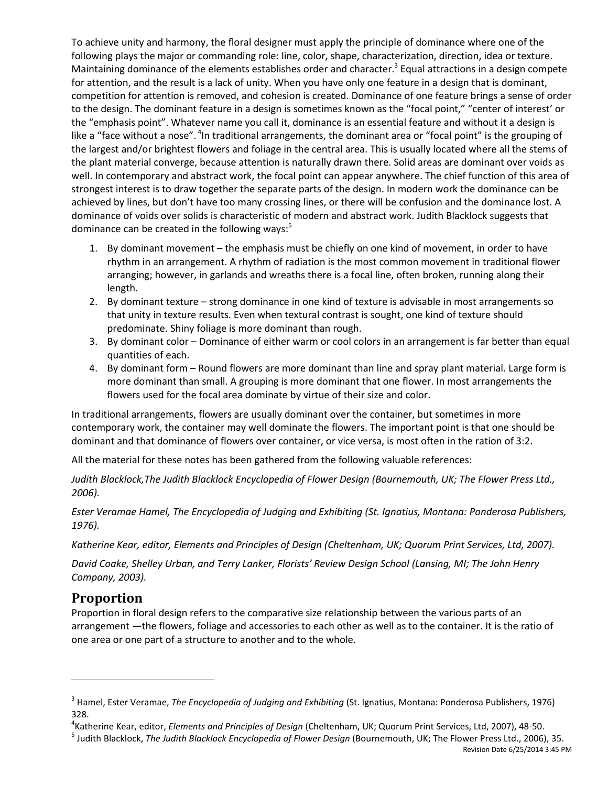To achieve unity and harmony, the floral designer must apply the principle of dominance where one of the following plays the major or commanding role: line, color, shape, characterization, direction, idea or texture. Maintaining dominance of the elements establishes order and character.<sup>3</sup> Equal attractions in a design compete for attention, and the result is a lack of unity. When you have only one feature in a design that is dominant, competition for attention is removed, and cohesion is created. Dominance of one feature brings a sense of order to the design. The dominant feature in a design is sometimes known as the "focal point," "center of interest' or the "emphasis point". Whatever name you call it, dominance is an essential feature and without it a design is like a "face without a nose". <sup>4</sup>In traditional arrangements, the dominant area or "focal point" is the grouping of the largest and/or brightest flowers and foliage in the central area. This is usually located where all the stems of the plant material converge, because attention is naturally drawn there. Solid areas are dominant over voids as well. In contemporary and abstract work, the focal point can appear anywhere. The chief function of this area of strongest interest is to draw together the separate parts of the design. In modern work the dominance can be achieved by lines, but don't have too many crossing lines, or there will be confusion and the dominance lost. A dominance of voids over solids is characteristic of modern and abstract work. Judith Blacklock suggests that dominance can be created in the following ways: $5$ 

- 1. By dominant movement the emphasis must be chiefly on one kind of movement, in order to have rhythm in an arrangement. A rhythm of radiation is the most common movement in traditional flower arranging; however, in garlands and wreaths there is a focal line, often broken, running along their length.
- 2. By dominant texture strong dominance in one kind of texture is advisable in most arrangements so that unity in texture results. Even when textural contrast is sought, one kind of texture should predominate. Shiny foliage is more dominant than rough.
- 3. By dominant color Dominance of either warm or cool colors in an arrangement is far better than equal quantities of each.
- 4. By dominant form Round flowers are more dominant than line and spray plant material. Large form is more dominant than small. A grouping is more dominant that one flower. In most arrangements the flowers used for the focal area dominate by virtue of their size and color.

In traditional arrangements, flowers are usually dominant over the container, but sometimes in more contemporary work, the container may well dominate the flowers. The important point is that one should be dominant and that dominance of flowers over container, or vice versa, is most often in the ration of 3:2.

All the material for these notes has been gathered from the following valuable references:

*Judith Blacklock,The Judith Blacklock Encyclopedia of Flower Design (Bournemouth, UK; The Flower Press Ltd., 2006).* 

*Ester Veramae Hamel, The Encyclopedia of Judging and Exhibiting (St. Ignatius, Montana: Ponderosa Publishers, 1976).* 

*Katherine Kear, editor, Elements and Principles of Design (Cheltenham, UK; Quorum Print Services, Ltd, 2007).* 

*David Coake, Shelley Urban, and Terry Lanker, Florists' Review Design School (Lansing, MI; The John Henry Company, 2003).* 

# **Proportion**

Proportion in floral design refers to the comparative size relationship between the various parts of an arrangement —the flowers, foliage and accessories to each other as well as to the container. It is the ratio of one area or one part of a structure to another and to the whole.

5 Judith Blacklock, *The Judith Blacklock Encyclopedia of Flower Design* (Bournemouth, UK; The Flower Press Ltd., 2006), 35.

<sup>&</sup>lt;sup>3</sup> Hamel, Ester Veramae, *The Encyclopedia of Judging and Exhibiting* (St. Ignatius, Montana: Ponderosa Publishers, 1976) 328.

<sup>4</sup> Katherine Kear, editor, *Elements and Principles of Design* (Cheltenham, UK; Quorum Print Services, Ltd, 2007), 48-50.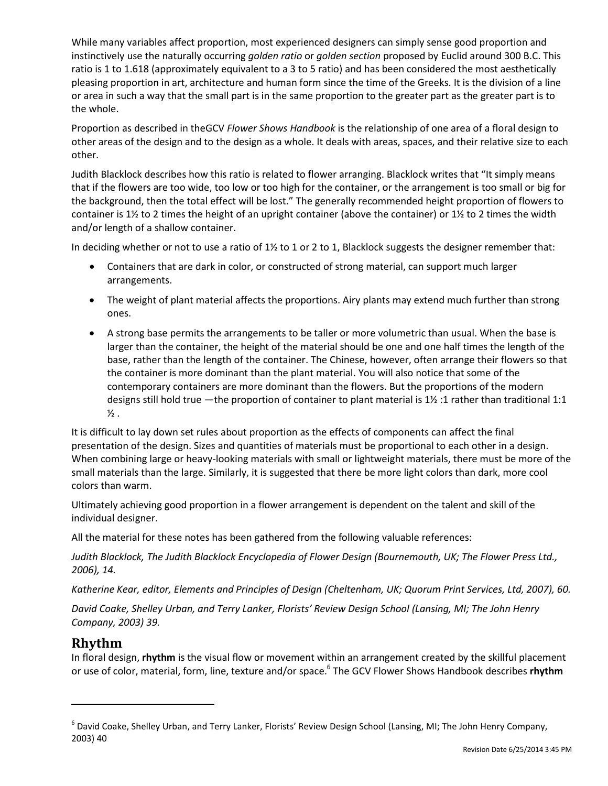While many variables affect proportion, most experienced designers can simply sense good proportion and instinctively use the naturally occurring *golden ratio* or *golden section* proposed by Euclid around 300 B.C. This ratio is 1 to 1.618 (approximately equivalent to a 3 to 5 ratio) and has been considered the most aesthetically pleasing proportion in art, architecture and human form since the time of the Greeks. It is the division of a line or area in such a way that the small part is in the same proportion to the greater part as the greater part is to the whole.

Proportion as described in theGCV *Flower Shows Handbook* is the relationship of one area of a floral design to other areas of the design and to the design as a whole. It deals with areas, spaces, and their relative size to each other.

Judith Blacklock describes how this ratio is related to flower arranging. Blacklock writes that "It simply means that if the flowers are too wide, too low or too high for the container, or the arrangement is too small or big for the background, then the total effect will be lost." The generally recommended height proportion of flowers to container is 1½ to 2 times the height of an upright container (above the container) or 1½ to 2 times the width and/or length of a shallow container.

In deciding whether or not to use a ratio of 1½ to 1 or 2 to 1, Blacklock suggests the designer remember that:

- Containers that are dark in color, or constructed of strong material, can support much larger arrangements.
- The weight of plant material affects the proportions. Airy plants may extend much further than strong ones.
- A strong base permits the arrangements to be taller or more volumetric than usual. When the base is larger than the container, the height of the material should be one and one half times the length of the base, rather than the length of the container. The Chinese, however, often arrange their flowers so that the container is more dominant than the plant material. You will also notice that some of the contemporary containers are more dominant than the flowers. But the proportions of the modern designs still hold true —the proportion of container to plant material is 1½ :1 rather than traditional 1:1  $\frac{1}{2}$  .

It is difficult to lay down set rules about proportion as the effects of components can affect the final presentation of the design. Sizes and quantities of materials must be proportional to each other in a design. When combining large or heavy-looking materials with small or lightweight materials, there must be more of the small materials than the large. Similarly, it is suggested that there be more light colors than dark, more cool colors than warm.

Ultimately achieving good proportion in a flower arrangement is dependent on the talent and skill of the individual designer.

All the material for these notes has been gathered from the following valuable references:

*Judith Blacklock, The Judith Blacklock Encyclopedia of Flower Design (Bournemouth, UK; The Flower Press Ltd., 2006), 14.* 

*Katherine Kear, editor, Elements and Principles of Design (Cheltenham, UK; Quorum Print Services, Ltd, 2007), 60.* 

*David Coake, Shelley Urban, and Terry Lanker, Florists' Review Design School (Lansing, MI; The John Henry Company, 2003) 39.*

# **Rhythm**

In floral design, **rhythm** is the visual flow or movement within an arrangement created by the skillful placement or use of color, material, form, line, texture and/or space.<sup>6</sup> The GCV Flower Shows Handbook describes **rhythm** 

<sup>&</sup>lt;sup>6</sup> David Coake, Shelley Urban, and Terry Lanker, Florists' Review Design School (Lansing, MI; The John Henry Company, 2003) 40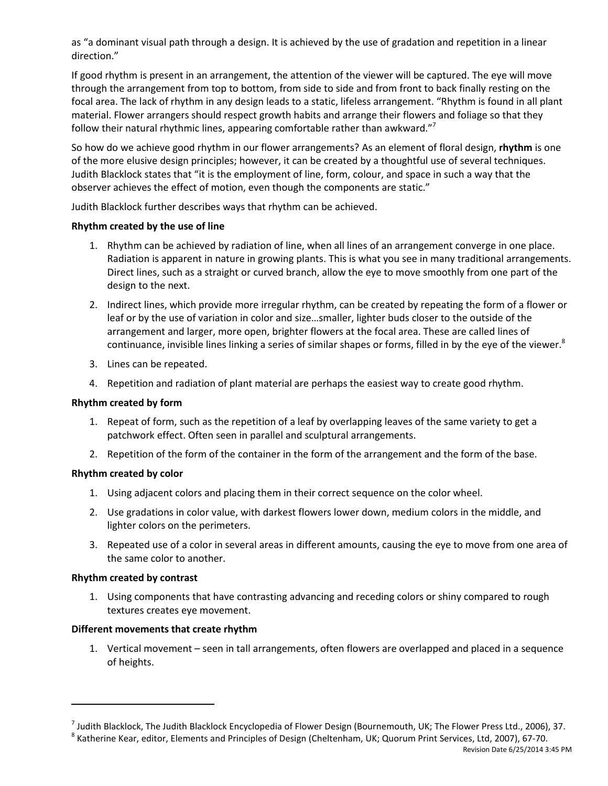as "a dominant visual path through a design. It is achieved by the use of gradation and repetition in a linear direction."

If good rhythm is present in an arrangement, the attention of the viewer will be captured. The eye will move through the arrangement from top to bottom, from side to side and from front to back finally resting on the focal area. The lack of rhythm in any design leads to a static, lifeless arrangement. "Rhythm is found in all plant material. Flower arrangers should respect growth habits and arrange their flowers and foliage so that they follow their natural rhythmic lines, appearing comfortable rather than awkward."<sup>7</sup>

So how do we achieve good rhythm in our flower arrangements? As an element of floral design, **rhythm** is one of the more elusive design principles; however, it can be created by a thoughtful use of several techniques. Judith Blacklock states that "it is the employment of line, form, colour, and space in such a way that the observer achieves the effect of motion, even though the components are static."

Judith Blacklock further describes ways that rhythm can be achieved.

#### **Rhythm created by the use of line**

- 1. Rhythm can be achieved by radiation of line, when all lines of an arrangement converge in one place. Radiation is apparent in nature in growing plants. This is what you see in many traditional arrangements. Direct lines, such as a straight or curved branch, allow the eye to move smoothly from one part of the design to the next.
- 2. Indirect lines, which provide more irregular rhythm, can be created by repeating the form of a flower or leaf or by the use of variation in color and size…smaller, lighter buds closer to the outside of the arrangement and larger, more open, brighter flowers at the focal area. These are called lines of continuance, invisible lines linking a series of similar shapes or forms, filled in by the eye of the viewer.<sup>8</sup>
- 3. Lines can be repeated.
- 4. Repetition and radiation of plant material are perhaps the easiest way to create good rhythm.

#### **Rhythm created by form**

- 1. Repeat of form, such as the repetition of a leaf by overlapping leaves of the same variety to get a patchwork effect. Often seen in parallel and sculptural arrangements.
- 2. Repetition of the form of the container in the form of the arrangement and the form of the base.

#### **Rhythm created by color**

- 1. Using adjacent colors and placing them in their correct sequence on the color wheel.
- 2. Use gradations in color value, with darkest flowers lower down, medium colors in the middle, and lighter colors on the perimeters.
- 3. Repeated use of a color in several areas in different amounts, causing the eye to move from one area of the same color to another.

#### **Rhythm created by contrast**

1. Using components that have contrasting advancing and receding colors or shiny compared to rough textures creates eye movement.

#### **Different movements that create rhythm**

1. Vertical movement – seen in tall arrangements, often flowers are overlapped and placed in a sequence of heights.

<sup>&</sup>lt;sup>7</sup> Judith Blacklock, The Judith Blacklock Encyclopedia of Flower Design (Bournemouth, UK; The Flower Press Ltd., 2006), 37.

 $^8$  Katherine Kear, editor, Elements and Principles of Design (Cheltenham, UK; Quorum Print Services, Ltd, 2007), 67-70.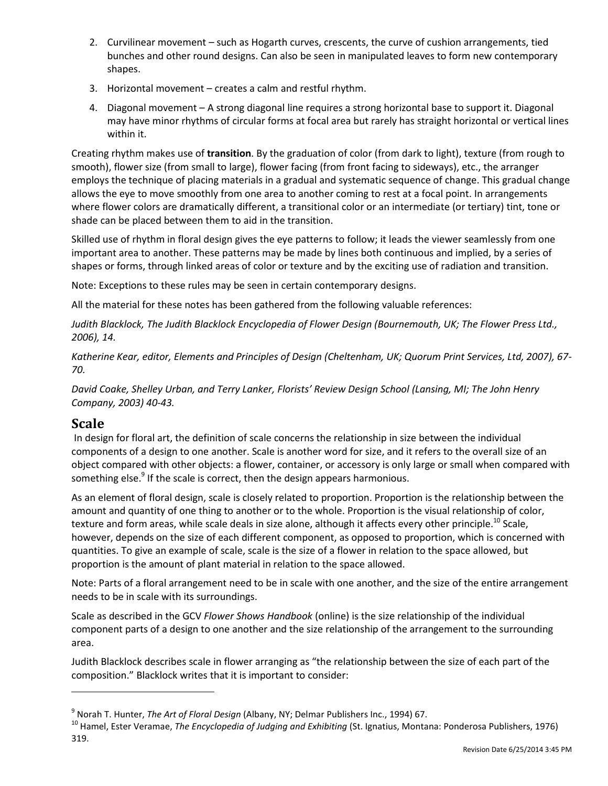- 2. Curvilinear movement such as Hogarth curves, crescents, the curve of cushion arrangements, tied bunches and other round designs. Can also be seen in manipulated leaves to form new contemporary shapes.
- 3. Horizontal movement creates a calm and restful rhythm.
- 4. Diagonal movement A strong diagonal line requires a strong horizontal base to support it. Diagonal may have minor rhythms of circular forms at focal area but rarely has straight horizontal or vertical lines within it.

Creating rhythm makes use of **transition**. By the graduation of color (from dark to light), texture (from rough to smooth), flower size (from small to large), flower facing (from front facing to sideways), etc., the arranger employs the technique of placing materials in a gradual and systematic sequence of change. This gradual change allows the eye to move smoothly from one area to another coming to rest at a focal point. In arrangements where flower colors are dramatically different, a transitional color or an intermediate (or tertiary) tint, tone or shade can be placed between them to aid in the transition.

Skilled use of rhythm in floral design gives the eye patterns to follow; it leads the viewer seamlessly from one important area to another. These patterns may be made by lines both continuous and implied, by a series of shapes or forms, through linked areas of color or texture and by the exciting use of radiation and transition.

Note: Exceptions to these rules may be seen in certain contemporary designs.

All the material for these notes has been gathered from the following valuable references:

*Judith Blacklock, The Judith Blacklock Encyclopedia of Flower Design (Bournemouth, UK; The Flower Press Ltd., 2006), 14.* 

*Katherine Kear, editor, Elements and Principles of Design (Cheltenham, UK; Quorum Print Services, Ltd, 2007), 67- 70.*

*David Coake, Shelley Urban, and Terry Lanker, Florists' Review Design School (Lansing, MI; The John Henry Company, 2003) 40-43.*

# **Scale**

In design for floral art, the definition of scale concerns the relationship in size between the individual components of a design to one another. Scale is another word for size, and it refers to the overall size of an object compared with other objects: a flower, container, or accessory is only large or small when compared with something else.<sup>9</sup> If the scale is correct, then the design appears harmonious.

As an element of floral design, scale is closely related to proportion. Proportion is the relationship between the amount and quantity of one thing to another or to the whole. Proportion is the visual relationship of color, texture and form areas, while scale deals in size alone, although it affects every other principle.<sup>10</sup> Scale, however, depends on the size of each different component, as opposed to proportion, which is concerned with quantities. To give an example of scale, scale is the size of a flower in relation to the space allowed, but proportion is the amount of plant material in relation to the space allowed.

Note: Parts of a floral arrangement need to be in scale with one another, and the size of the entire arrangement needs to be in scale with its surroundings.

Scale as described in the GCV *Flower Shows Handbook* (online) is the size relationship of the individual component parts of a design to one another and the size relationship of the arrangement to the surrounding area.

Judith Blacklock describes scale in flower arranging as "the relationship between the size of each part of the composition." Blacklock writes that it is important to consider:

<sup>9</sup> Norah T. Hunter, *The Art of Floral Design* (Albany, NY; Delmar Publishers Inc., 1994) 67.

<sup>10</sup> Hamel, Ester Veramae, *The Encyclopedia of Judging and Exhibiting* (St. Ignatius, Montana: Ponderosa Publishers, 1976) 319.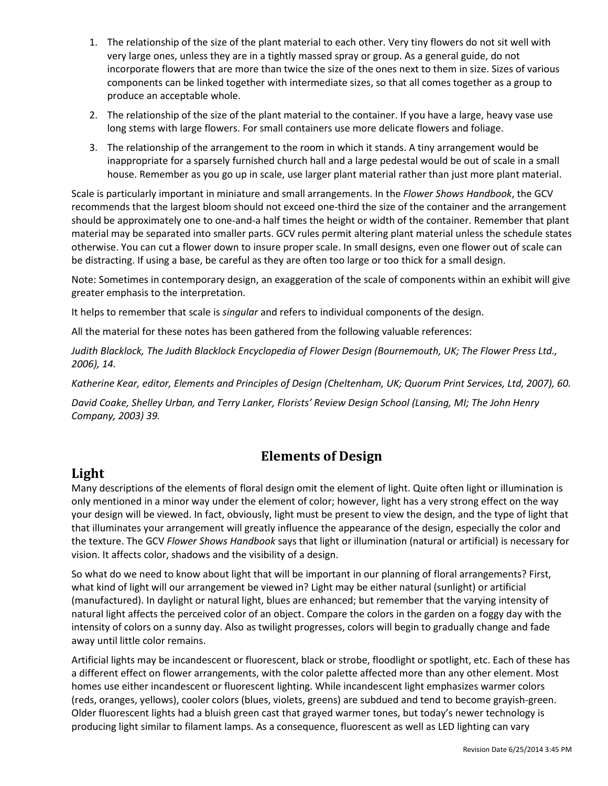- 1. The relationship of the size of the plant material to each other. Very tiny flowers do not sit well with very large ones, unless they are in a tightly massed spray or group. As a general guide, do not incorporate flowers that are more than twice the size of the ones next to them in size. Sizes of various components can be linked together with intermediate sizes, so that all comes together as a group to produce an acceptable whole.
- 2. The relationship of the size of the plant material to the container. If you have a large, heavy vase use long stems with large flowers. For small containers use more delicate flowers and foliage.
- 3. The relationship of the arrangement to the room in which it stands. A tiny arrangement would be inappropriate for a sparsely furnished church hall and a large pedestal would be out of scale in a small house. Remember as you go up in scale, use larger plant material rather than just more plant material.

Scale is particularly important in miniature and small arrangements. In the *Flower Shows Handbook*, the GCV recommends that the largest bloom should not exceed one-third the size of the container and the arrangement should be approximately one to one-and-a half times the height or width of the container. Remember that plant material may be separated into smaller parts. GCV rules permit altering plant material unless the schedule states otherwise. You can cut a flower down to insure proper scale. In small designs, even one flower out of scale can be distracting. If using a base, be careful as they are often too large or too thick for a small design.

Note: Sometimes in contemporary design, an exaggeration of the scale of components within an exhibit will give greater emphasis to the interpretation.

It helps to remember that scale is *singular* and refers to individual components of the design.

All the material for these notes has been gathered from the following valuable references:

*Judith Blacklock, The Judith Blacklock Encyclopedia of Flower Design (Bournemouth, UK; The Flower Press Ltd., 2006), 14.* 

*Katherine Kear, editor, Elements and Principles of Design (Cheltenham, UK; Quorum Print Services, Ltd, 2007), 60.* 

*David Coake, Shelley Urban, and Terry Lanker, Florists' Review Design School (Lansing, MI; The John Henry Company, 2003) 39.* 

# **Elements of Design**

# **Light**

Many descriptions of the elements of floral design omit the element of light. Quite often light or illumination is only mentioned in a minor way under the element of color; however, light has a very strong effect on the way your design will be viewed. In fact, obviously, light must be present to view the design, and the type of light that that illuminates your arrangement will greatly influence the appearance of the design, especially the color and the texture. The GCV *Flower Shows Handbook* says that light or illumination (natural or artificial) is necessary for vision. It affects color, shadows and the visibility of a design.

So what do we need to know about light that will be important in our planning of floral arrangements? First, what kind of light will our arrangement be viewed in? Light may be either natural (sunlight) or artificial (manufactured). In daylight or natural light, blues are enhanced; but remember that the varying intensity of natural light affects the perceived color of an object. Compare the colors in the garden on a foggy day with the intensity of colors on a sunny day. Also as twilight progresses, colors will begin to gradually change and fade away until little color remains.

Artificial lights may be incandescent or fluorescent, black or strobe, floodlight or spotlight, etc. Each of these has a different effect on flower arrangements, with the color palette affected more than any other element. Most homes use either incandescent or fluorescent lighting. While incandescent light emphasizes warmer colors (reds, oranges, yellows), cooler colors (blues, violets, greens) are subdued and tend to become grayish-green. Older fluorescent lights had a bluish green cast that grayed warmer tones, but today's newer technology is producing light similar to filament lamps. As a consequence, fluorescent as well as LED lighting can vary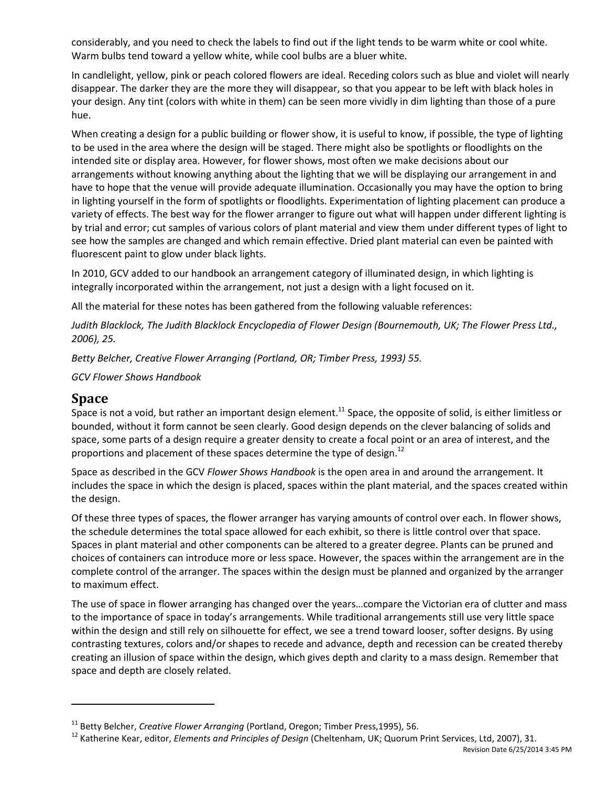considerably, and you need to check the labels to find out if the light tends to be warm white or cool white. Warm bulbs tend toward a yellow white, while cool bulbs are a bluer white.

In candlelight, yellow, pink or peach colored flowers are ideal. Receding colors such as blue and violet will nearly disappear. The darker they are the more they will disappear, so that you appear to be left with black holes in your design. Any tint (colors with white in them) can be seen more vividly in dim lighting than those of a pure hue.

When creating a design for a public building or flower show, it is useful to know, if possible, the type of lighting to be used in the area where the design will be staged. There might also be spotlights or floodlights on the intended site or display area. However, for flower shows, most often we make decisions about our arrangements without knowing anything about the lighting that we will be displaying our arrangement in and have to hope that the venue will provide adequate illumination. Occasionally you may have the option to bring in lighting yourself in the form of spotlights or floodlights. Experimentation of lighting placement can produce a variety of effects. The best way for the flower arranger to figure out what will happen under different lighting is by trial and error; cut samples of various colors of plant material and view them under different types of light to see how the samples are changed and which remain effective. Dried plant material can even be painted with fluorescent paint to glow under black lights.

In 2010, GCV added to our handbook an arrangement category of illuminated design, in which lighting is integrally incorporated within the arrangement, not just a design with a light focused on it.

All the material for these notes has been gathered from the following valuable references:

*Judith Blacklock, The Judith Blacklock Encyclopedia of Flower Design (Bournemouth, UK; The Flower Press Ltd., 2006), 25.* 

*Betty Belcher, Creative Flower Arranging (Portland, OR; Timber Press, 1993) 55.* 

*GCV Flower Shows Handbook* 

## **Space**

Space is not a void, but rather an important design element.<sup>11</sup> Space, the opposite of solid, is either limitless or bounded, without it form cannot be seen clearly. Good design depends on the clever balancing of solids and space, some parts of a design require a greater density to create a focal point or an area of interest, and the proportions and placement of these spaces determine the type of design.<sup>12</sup>

Space as described in the GCV *Flower Shows Handbook* is the open area in and around the arrangement. It includes the space in which the design is placed, spaces within the plant material, and the spaces created within the design.

Of these three types of spaces, the flower arranger has varying amounts of control over each. In flower shows, the schedule determines the total space allowed for each exhibit, so there is little control over that space. Spaces in plant material and other components can be altered to a greater degree. Plants can be pruned and choices of containers can introduce more or less space. However, the spaces within the arrangement are in the complete control of the arranger. The spaces within the design must be planned and organized by the arranger to maximum effect.

The use of space in flower arranging has changed over the years…compare the Victorian era of clutter and mass to the importance of space in today's arrangements. While traditional arrangements still use very little space within the design and still rely on silhouette for effect, we see a trend toward looser, softer designs. By using contrasting textures, colors and/or shapes to recede and advance, depth and recession can be created thereby creating an illusion of space within the design, which gives depth and clarity to a mass design. Remember that space and depth are closely related.

<sup>&</sup>lt;sup>11</sup> Betty Belcher, *Creative Flower Arranging* (Portland, Oregon; Timber Press,1995), 56.

<sup>12</sup> Katherine Kear, editor, *Elements and Principles of Design* (Cheltenham, UK; Quorum Print Services, Ltd, 2007), 31.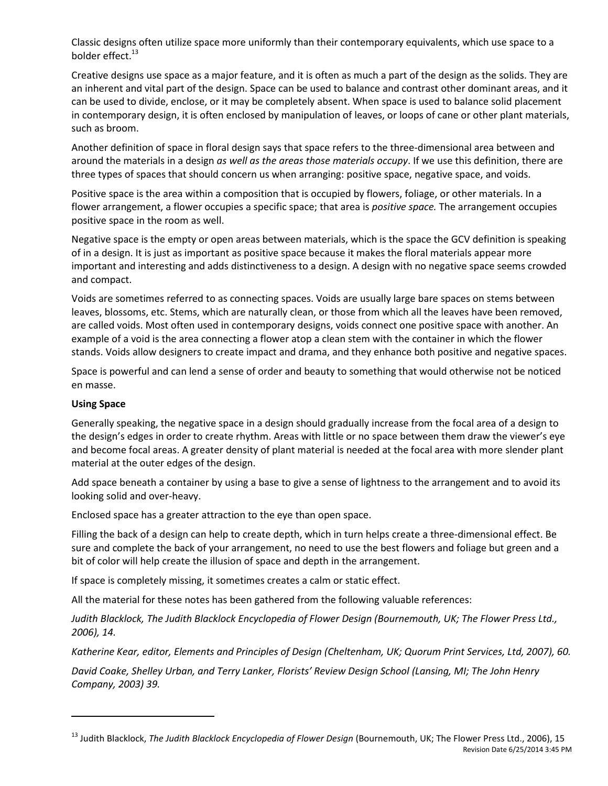Classic designs often utilize space more uniformly than their contemporary equivalents, which use space to a bolder effect. $^{13}$ 

Creative designs use space as a major feature, and it is often as much a part of the design as the solids. They are an inherent and vital part of the design. Space can be used to balance and contrast other dominant areas, and it can be used to divide, enclose, or it may be completely absent. When space is used to balance solid placement in contemporary design, it is often enclosed by manipulation of leaves, or loops of cane or other plant materials, such as broom.

Another definition of space in floral design says that space refers to the three-dimensional area between and around the materials in a design *as well as the areas those materials occupy*. If we use this definition, there are three types of spaces that should concern us when arranging: positive space, negative space, and voids.

Positive space is the area within a composition that is occupied by flowers, foliage, or other materials. In a flower arrangement, a flower occupies a specific space; that area is *positive space.* The arrangement occupies positive space in the room as well.

Negative space is the empty or open areas between materials, which is the space the GCV definition is speaking of in a design. It is just as important as positive space because it makes the floral materials appear more important and interesting and adds distinctiveness to a design. A design with no negative space seems crowded and compact.

Voids are sometimes referred to as connecting spaces. Voids are usually large bare spaces on stems between leaves, blossoms, etc. Stems, which are naturally clean, or those from which all the leaves have been removed, are called voids. Most often used in contemporary designs, voids connect one positive space with another. An example of a void is the area connecting a flower atop a clean stem with the container in which the flower stands. Voids allow designers to create impact and drama, and they enhance both positive and negative spaces.

Space is powerful and can lend a sense of order and beauty to something that would otherwise not be noticed en masse.

#### **Using Space**

Generally speaking, the negative space in a design should gradually increase from the focal area of a design to the design's edges in order to create rhythm. Areas with little or no space between them draw the viewer's eye and become focal areas. A greater density of plant material is needed at the focal area with more slender plant material at the outer edges of the design.

Add space beneath a container by using a base to give a sense of lightness to the arrangement and to avoid its looking solid and over-heavy.

Enclosed space has a greater attraction to the eye than open space.

Filling the back of a design can help to create depth, which in turn helps create a three-dimensional effect. Be sure and complete the back of your arrangement, no need to use the best flowers and foliage but green and a bit of color will help create the illusion of space and depth in the arrangement.

If space is completely missing, it sometimes creates a calm or static effect.

All the material for these notes has been gathered from the following valuable references:

*Judith Blacklock, The Judith Blacklock Encyclopedia of Flower Design (Bournemouth, UK; The Flower Press Ltd., 2006), 14.* 

*Katherine Kear, editor, Elements and Principles of Design (Cheltenham, UK; Quorum Print Services, Ltd, 2007), 60.* 

*David Coake, Shelley Urban, and Terry Lanker, Florists' Review Design School (Lansing, MI; The John Henry Company, 2003) 39.* 

Revision Date 6/25/2014 3:45 PM <sup>13</sup> Judith Blacklock, *The Judith Blacklock Encyclopedia of Flower Design* (Bournemouth, UK; The Flower Press Ltd., 2006), 15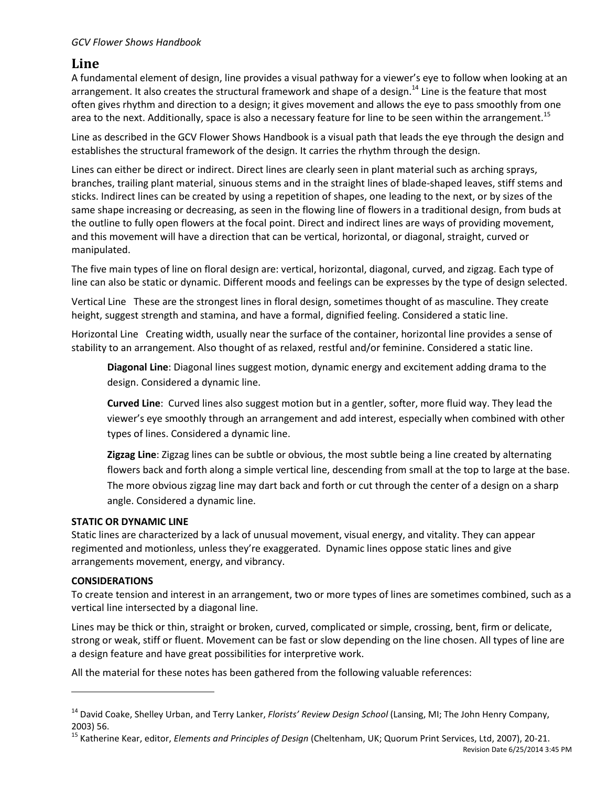#### *GCV Flower Shows Handbook*

## **Line**

A fundamental element of design, line provides a visual pathway for a viewer's eye to follow when looking at an arrangement. It also creates the structural framework and shape of a design.<sup>14</sup> Line is the feature that most often gives rhythm and direction to a design; it gives movement and allows the eye to pass smoothly from one area to the next. Additionally, space is also a necessary feature for line to be seen within the arrangement.<sup>15</sup>

Line as described in the GCV Flower Shows Handbook is a visual path that leads the eye through the design and establishes the structural framework of the design. It carries the rhythm through the design.

Lines can either be direct or indirect. Direct lines are clearly seen in plant material such as arching sprays, branches, trailing plant material, sinuous stems and in the straight lines of blade-shaped leaves, stiff stems and sticks. Indirect lines can be created by using a repetition of shapes, one leading to the next, or by sizes of the same shape increasing or decreasing, as seen in the flowing line of flowers in a traditional design, from buds at the outline to fully open flowers at the focal point. Direct and indirect lines are ways of providing movement, and this movement will have a direction that can be vertical, horizontal, or diagonal, straight, curved or manipulated.

The five main types of line on floral design are: vertical, horizontal, diagonal, curved, and zigzag. Each type of line can also be static or dynamic. Different moods and feelings can be expresses by the type of design selected.

Vertical Line These are the strongest lines in floral design, sometimes thought of as masculine. They create height, suggest strength and stamina, and have a formal, dignified feeling. Considered a static line.

Horizontal Line Creating width, usually near the surface of the container, horizontal line provides a sense of stability to an arrangement. Also thought of as relaxed, restful and/or feminine. Considered a static line.

**Diagonal Line**: Diagonal lines suggest motion, dynamic energy and excitement adding drama to the design. Considered a dynamic line.

**Curved Line**: Curved lines also suggest motion but in a gentler, softer, more fluid way. They lead the viewer's eye smoothly through an arrangement and add interest, especially when combined with other types of lines. Considered a dynamic line.

**Zigzag Line**: Zigzag lines can be subtle or obvious, the most subtle being a line created by alternating flowers back and forth along a simple vertical line, descending from small at the top to large at the base. The more obvious zigzag line may dart back and forth or cut through the center of a design on a sharp angle. Considered a dynamic line.

#### **STATIC OR DYNAMIC LINE**

Static lines are characterized by a lack of unusual movement, visual energy, and vitality. They can appear regimented and motionless, unless they're exaggerated. Dynamic lines oppose static lines and give arrangements movement, energy, and vibrancy.

#### **CONSIDERATIONS**

To create tension and interest in an arrangement, two or more types of lines are sometimes combined, such as a vertical line intersected by a diagonal line.

Lines may be thick or thin, straight or broken, curved, complicated or simple, crossing, bent, firm or delicate, strong or weak, stiff or fluent. Movement can be fast or slow depending on the line chosen. All types of line are a design feature and have great possibilities for interpretive work.

All the material for these notes has been gathered from the following valuable references:

<sup>14</sup> David Coake, Shelley Urban, and Terry Lanker, *Florists' Review Design School* (Lansing, MI; The John Henry Company, 2003) 56.

<sup>15</sup> Katherine Kear, editor, *Elements and Principles of Design* (Cheltenham, UK; Quorum Print Services, Ltd, 2007), 20-21.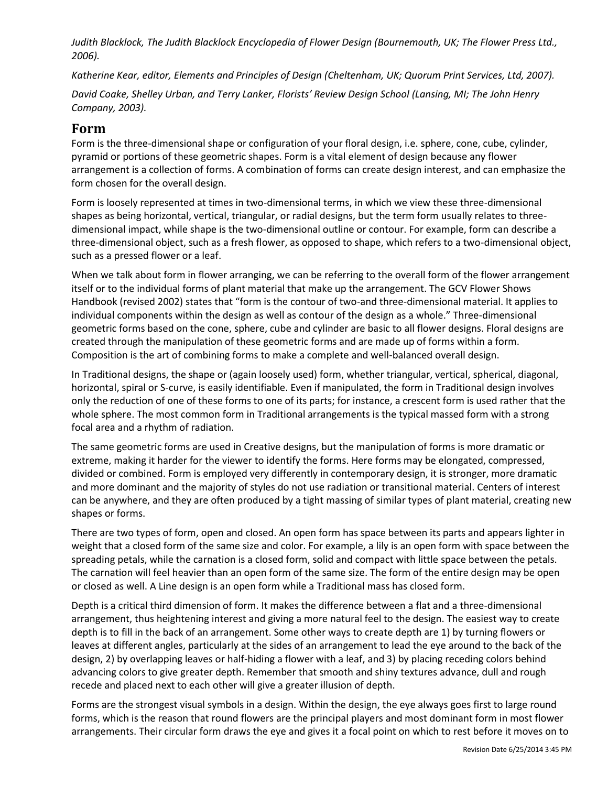*Judith Blacklock, The Judith Blacklock Encyclopedia of Flower Design (Bournemouth, UK; The Flower Press Ltd., 2006).* 

*Katherine Kear, editor, Elements and Principles of Design (Cheltenham, UK; Quorum Print Services, Ltd, 2007).* 

*David Coake, Shelley Urban, and Terry Lanker, Florists' Review Design School (Lansing, MI; The John Henry Company, 2003).* 

## **Form**

Form is the three-dimensional shape or configuration of your floral design, i.e. sphere, cone, cube, cylinder, pyramid or portions of these geometric shapes. Form is a vital element of design because any flower arrangement is a collection of forms. A combination of forms can create design interest, and can emphasize the form chosen for the overall design.

Form is loosely represented at times in two-dimensional terms, in which we view these three-dimensional shapes as being horizontal, vertical, triangular, or radial designs, but the term form usually relates to threedimensional impact, while shape is the two-dimensional outline or contour. For example, form can describe a three-dimensional object, such as a fresh flower, as opposed to shape, which refers to a two-dimensional object, such as a pressed flower or a leaf.

When we talk about form in flower arranging, we can be referring to the overall form of the flower arrangement itself or to the individual forms of plant material that make up the arrangement. The GCV Flower Shows Handbook (revised 2002) states that "form is the contour of two-and three-dimensional material. It applies to individual components within the design as well as contour of the design as a whole." Three-dimensional geometric forms based on the cone, sphere, cube and cylinder are basic to all flower designs. Floral designs are created through the manipulation of these geometric forms and are made up of forms within a form. Composition is the art of combining forms to make a complete and well-balanced overall design.

In Traditional designs, the shape or (again loosely used) form, whether triangular, vertical, spherical, diagonal, horizontal, spiral or S-curve, is easily identifiable. Even if manipulated, the form in Traditional design involves only the reduction of one of these forms to one of its parts; for instance, a crescent form is used rather that the whole sphere. The most common form in Traditional arrangements is the typical massed form with a strong focal area and a rhythm of radiation.

The same geometric forms are used in Creative designs, but the manipulation of forms is more dramatic or extreme, making it harder for the viewer to identify the forms. Here forms may be elongated, compressed, divided or combined. Form is employed very differently in contemporary design, it is stronger, more dramatic and more dominant and the majority of styles do not use radiation or transitional material. Centers of interest can be anywhere, and they are often produced by a tight massing of similar types of plant material, creating new shapes or forms.

There are two types of form, open and closed. An open form has space between its parts and appears lighter in weight that a closed form of the same size and color. For example, a lily is an open form with space between the spreading petals, while the carnation is a closed form, solid and compact with little space between the petals. The carnation will feel heavier than an open form of the same size. The form of the entire design may be open or closed as well. A Line design is an open form while a Traditional mass has closed form.

Depth is a critical third dimension of form. It makes the difference between a flat and a three-dimensional arrangement, thus heightening interest and giving a more natural feel to the design. The easiest way to create depth is to fill in the back of an arrangement. Some other ways to create depth are 1) by turning flowers or leaves at different angles, particularly at the sides of an arrangement to lead the eye around to the back of the design, 2) by overlapping leaves or half-hiding a flower with a leaf, and 3) by placing receding colors behind advancing colors to give greater depth. Remember that smooth and shiny textures advance, dull and rough recede and placed next to each other will give a greater illusion of depth.

Forms are the strongest visual symbols in a design. Within the design, the eye always goes first to large round forms, which is the reason that round flowers are the principal players and most dominant form in most flower arrangements. Their circular form draws the eye and gives it a focal point on which to rest before it moves on to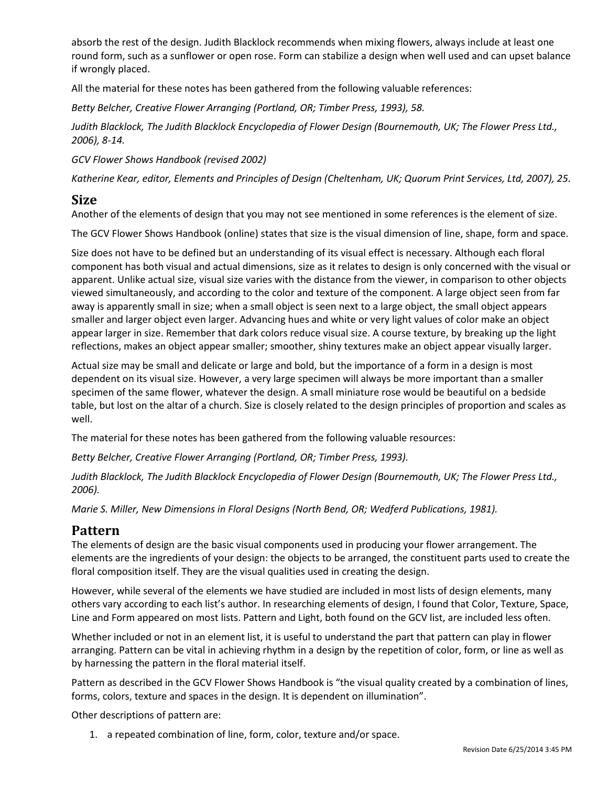absorb the rest of the design. Judith Blacklock recommends when mixing flowers, always include at least one round form, such as a sunflower or open rose. Form can stabilize a design when well used and can upset balance if wrongly placed.

All the material for these notes has been gathered from the following valuable references:

*Betty Belcher, Creative Flower Arranging (Portland, OR; Timber Press, 1993), 58.*

*Judith Blacklock, The Judith Blacklock Encyclopedia of Flower Design (Bournemouth, UK; The Flower Press Ltd., 2006), 8-14.* 

*GCV Flower Shows Handbook (revised 2002)* 

*Katherine Kear, editor, Elements and Principles of Design (Cheltenham, UK; Quorum Print Services, Ltd, 2007), 25.* 

#### **Size**

Another of the elements of design that you may not see mentioned in some references is the element of size.

The GCV Flower Shows Handbook (online) states that size is the visual dimension of line, shape, form and space.

Size does not have to be defined but an understanding of its visual effect is necessary. Although each floral component has both visual and actual dimensions, size as it relates to design is only concerned with the visual or apparent. Unlike actual size, visual size varies with the distance from the viewer, in comparison to other objects viewed simultaneously, and according to the color and texture of the component. A large object seen from far away is apparently small in size; when a small object is seen next to a large object, the small object appears smaller and larger object even larger. Advancing hues and white or very light values of color make an object appear larger in size. Remember that dark colors reduce visual size. A course texture, by breaking up the light reflections, makes an object appear smaller; smoother, shiny textures make an object appear visually larger.

Actual size may be small and delicate or large and bold, but the importance of a form in a design is most dependent on its visual size. However, a very large specimen will always be more important than a smaller specimen of the same flower, whatever the design. A small miniature rose would be beautiful on a bedside table, but lost on the altar of a church. Size is closely related to the design principles of proportion and scales as well.

The material for these notes has been gathered from the following valuable resources:

*Betty Belcher, Creative Flower Arranging (Portland, OR; Timber Press, 1993).* 

*Judith Blacklock, The Judith Blacklock Encyclopedia of Flower Design (Bournemouth, UK; The Flower Press Ltd., 2006).* 

*Marie S. Miller, New Dimensions in Floral Designs (North Bend, OR; Wedferd Publications, 1981).* 

# **Pattern**

The elements of design are the basic visual components used in producing your flower arrangement. The elements are the ingredients of your design: the objects to be arranged, the constituent parts used to create the floral composition itself. They are the visual qualities used in creating the design.

However, while several of the elements we have studied are included in most lists of design elements, many others vary according to each list's author. In researching elements of design, I found that Color, Texture, Space, Line and Form appeared on most lists. Pattern and Light, both found on the GCV list, are included less often.

Whether included or not in an element list, it is useful to understand the part that pattern can play in flower arranging. Pattern can be vital in achieving rhythm in a design by the repetition of color, form, or line as well as by harnessing the pattern in the floral material itself.

Pattern as described in the GCV Flower Shows Handbook is "the visual quality created by a combination of lines, forms, colors, texture and spaces in the design. It is dependent on illumination".

Other descriptions of pattern are:

1. a repeated combination of line, form, color, texture and/or space.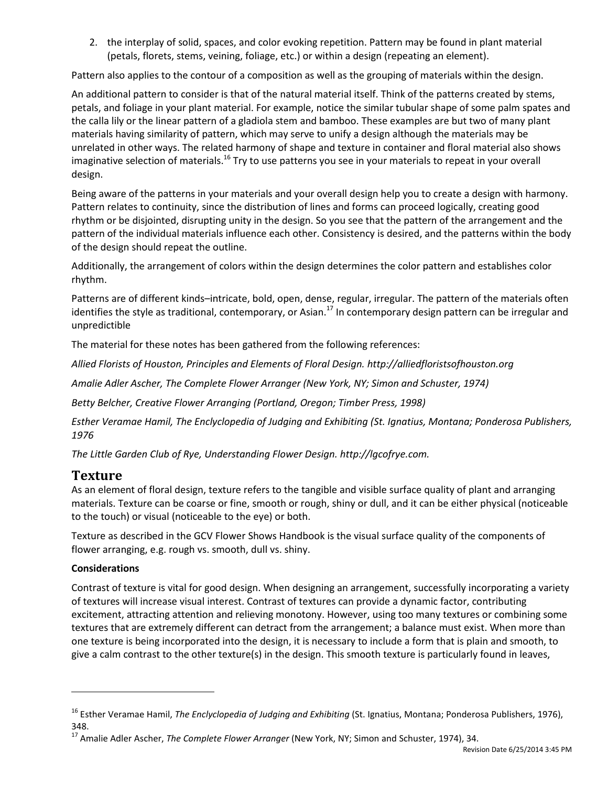2. the interplay of solid, spaces, and color evoking repetition. Pattern may be found in plant material (petals, florets, stems, veining, foliage, etc.) or within a design (repeating an element).

Pattern also applies to the contour of a composition as well as the grouping of materials within the design.

An additional pattern to consider is that of the natural material itself. Think of the patterns created by stems, petals, and foliage in your plant material. For example, notice the similar tubular shape of some palm spates and the calla lily or the linear pattern of a gladiola stem and bamboo. These examples are but two of many plant materials having similarity of pattern, which may serve to unify a design although the materials may be unrelated in other ways. The related harmony of shape and texture in container and floral material also shows imaginative selection of materials.<sup>16</sup> Try to use patterns you see in your materials to repeat in your overall design.

Being aware of the patterns in your materials and your overall design help you to create a design with harmony. Pattern relates to continuity, since the distribution of lines and forms can proceed logically, creating good rhythm or be disjointed, disrupting unity in the design. So you see that the pattern of the arrangement and the pattern of the individual materials influence each other. Consistency is desired, and the patterns within the body of the design should repeat the outline.

Additionally, the arrangement of colors within the design determines the color pattern and establishes color rhythm.

Patterns are of different kinds–intricate, bold, open, dense, regular, irregular. The pattern of the materials often identifies the style as traditional, contemporary, or Asian.<sup>17</sup> In contemporary design pattern can be irregular and unpredictible

The material for these notes has been gathered from the following references:

*Allied Florists of Houston, Principles and Elements of Floral Design. [http://alliedfloristsofhouston.org](http://alliedfloristsofhouston.org/)*

*Amalie Adler Ascher, The Complete Flower Arranger (New York, NY; Simon and Schuster, 1974)* 

*Betty Belcher, Creative Flower Arranging (Portland, Oregon; Timber Press, 1998)* 

*Esther Veramae Hamil, The Enclyclopedia of Judging and Exhibiting (St. Ignatius, Montana; Ponderosa Publishers, 1976* 

*The Little Garden Club of Rye, Understanding Flower Design. http://lgcofrye.com.* 

## **Texture**

As an element of floral design, texture refers to the tangible and visible surface quality of plant and arranging materials. Texture can be coarse or fine, smooth or rough, shiny or dull, and it can be either physical (noticeable to the touch) or visual (noticeable to the eye) or both.

Texture as described in the GCV Flower Shows Handbook is the visual surface quality of the components of flower arranging, e.g. rough vs. smooth, dull vs. shiny.

#### **Considerations**

Contrast of texture is vital for good design. When designing an arrangement, successfully incorporating a variety of textures will increase visual interest. Contrast of textures can provide a dynamic factor, contributing excitement, attracting attention and relieving monotony. However, using too many textures or combining some textures that are extremely different can detract from the arrangement; a balance must exist. When more than one texture is being incorporated into the design, it is necessary to include a form that is plain and smooth, to give a calm contrast to the other texture(s) in the design. This smooth texture is particularly found in leaves,

<sup>16</sup> Esther Veramae Hamil, *The Enclyclopedia of Judging and Exhibiting* (St. Ignatius, Montana; Ponderosa Publishers, 1976), 348.

<sup>17</sup> Amalie Adler Ascher, *The Complete Flower Arranger* (New York, NY; Simon and Schuster, 1974), 34.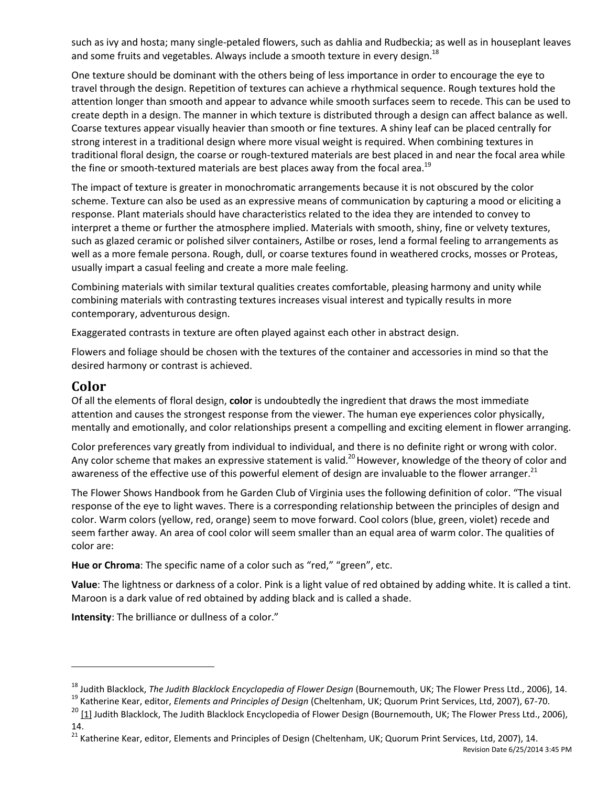such as ivy and hosta; many single-petaled flowers, such as dahlia and Rudbeckia; as well as in houseplant leaves and some fruits and vegetables. Always include a smooth texture in every design.<sup>18</sup>

One texture should be dominant with the others being of less importance in order to encourage the eye to travel through the design. Repetition of textures can achieve a rhythmical sequence. Rough textures hold the attention longer than smooth and appear to advance while smooth surfaces seem to recede. This can be used to create depth in a design. The manner in which texture is distributed through a design can affect balance as well. Coarse textures appear visually heavier than smooth or fine textures. A shiny leaf can be placed centrally for strong interest in a traditional design where more visual weight is required. When combining textures in traditional floral design, the coarse or rough-textured materials are best placed in and near the focal area while the fine or smooth-textured materials are best places away from the focal area.<sup>19</sup>

The impact of texture is greater in monochromatic arrangements because it is not obscured by the color scheme. Texture can also be used as an expressive means of communication by capturing a mood or eliciting a response. Plant materials should have characteristics related to the idea they are intended to convey to interpret a theme or further the atmosphere implied. Materials with smooth, shiny, fine or velvety textures, such as glazed ceramic or polished silver containers, Astilbe or roses, lend a formal feeling to arrangements as well as a more female persona. Rough, dull, or coarse textures found in weathered crocks, mosses or Proteas, usually impart a casual feeling and create a more male feeling.

Combining materials with similar textural qualities creates comfortable, pleasing harmony and unity while combining materials with contrasting textures increases visual interest and typically results in more contemporary, adventurous design.

Exaggerated contrasts in texture are often played against each other in abstract design.

Flowers and foliage should be chosen with the textures of the container and accessories in mind so that the desired harmony or contrast is achieved.

# **Color**

Of all the elements of floral design, **color** is undoubtedly the ingredient that draws the most immediate attention and causes the strongest response from the viewer. The human eye experiences color physically, mentally and emotionally, and color relationships present a compelling and exciting element in flower arranging.

Color preferences vary greatly from individual to individual, and there is no definite right or wrong with color. Any color scheme that makes an expressive statement is valid.<sup>20</sup> However, knowledge of the theory of color and awareness of the effective use of this powerful element of design are invaluable to the flower arranger.<sup>21</sup>

The Flower Shows Handbook from he Garden Club of Virginia uses the following definition of color. "The visual response of the eye to light waves. There is a corresponding relationship between the principles of design and color. Warm colors (yellow, red, orange) seem to move forward. Cool colors (blue, green, violet) recede and seem farther away. An area of cool color will seem smaller than an equal area of warm color. The qualities of color are:

**Hue or Chroma**: The specific name of a color such as "red," "green", etc.

**Value**: The lightness or darkness of a color. Pink is a light value of red obtained by adding white. It is called a tint. Maroon is a dark value of red obtained by adding black and is called a shade.

**Intensity**: The brilliance or dullness of a color."

<sup>18</sup> Judith Blacklock, *The Judith Blacklock Encyclopedia of Flower Design* (Bournemouth, UK; The Flower Press Ltd., 2006), 14.

<sup>19</sup> Katherine Kear, editor, *Elements and Principles of Design* (Cheltenham, UK; Quorum Print Services, Ltd, 2007), 67-70.

<sup>&</sup>lt;sup>20</sup> [\[1\] J](http://www.gcvirginia.org/members/gcv-business-content.cfm?ArticleID=311#_ftnref)udith Blacklock, The Judith Blacklock Encyclopedia of Flower Design (Bournemouth, UK; The Flower Press Ltd., 2006), 14.

<sup>&</sup>lt;sup>21</sup> Katherine Kear, editor, Elements and Principles of Design (Cheltenham, UK; Quorum Print Services, Ltd, 2007), 14.